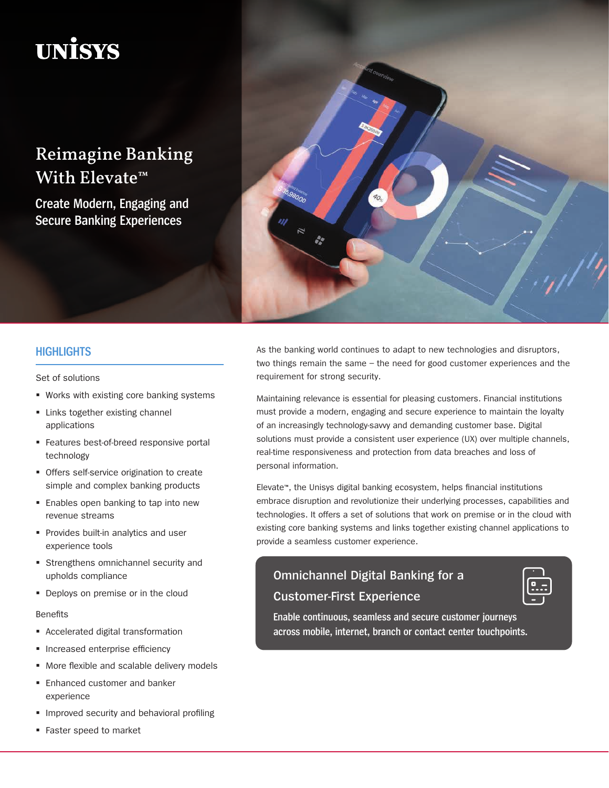# **UNİSYS**

## Reimagine Banking With Elevate<sup>™</sup>

**Create Modern, Engaging and Secure Banking Experiences**



## **HIGHLIGHTS**

Set of solutions

- Works with existing core banking systems
- **EXEC** Links together existing channel applications
- **Features best-of-breed responsive portal** technology
- **Offers self-service origination to create** simple and complex banking products
- **Enables open banking to tap into new** revenue streams
- **Provides built-in analytics and user** experience tools
- **Strengthens omnichannel security and** upholds compliance
- **Deploys on premise or in the cloud**

#### Benefits

- **Accelerated digital transformation**
- **Increased enterprise efficiency**
- **More flexible and scalable delivery models**
- **Enhanced customer and banker** experience
- **IMPROVED SECUTILY AND DEVIOTAL PROPERTY**
- **Faster speed to market**

As the banking world continues to adapt to new technologies and disruptors, two things remain the same – the need for good customer experiences and the requirement for strong security.

Maintaining relevance is essential for pleasing customers. Financial institutions must provide a modern, engaging and secure experience to maintain the loyalty of an increasingly technology-savvy and demanding customer base. Digital solutions must provide a consistent user experience (UX) over multiple channels, real-time responsiveness and protection from data breaches and loss of personal information.

Elevate™, the Unisys digital banking ecosystem, helps financial institutions embrace disruption and revolutionize their underlying processes, capabilities and technologies. It offers a set of solutions that work on premise or in the cloud with existing core banking systems and links together existing channel applications to provide a seamless customer experience.

## **Omnichannel Digital Banking for a Customer-First Experience**

| Ŧ<br>$\bullet$<br>□ |
|---------------------|
|                     |

**Enable continuous, seamless and secure customer journeys across mobile, internet, branch or contact center touchpoints.**